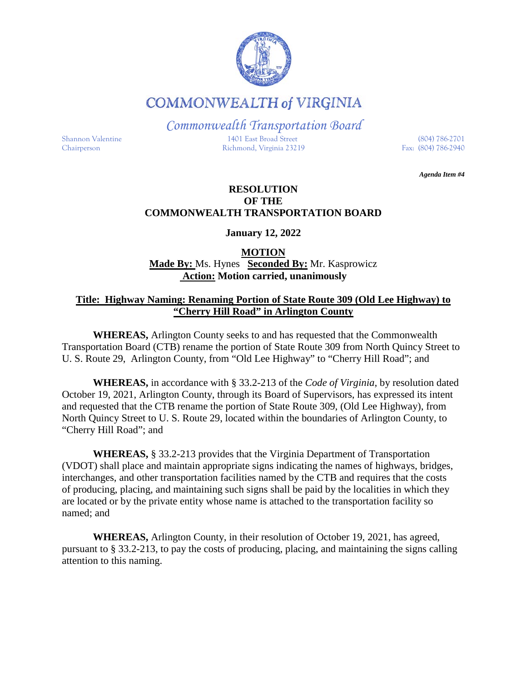

**COMMONWEALTH of VIRGINIA** 

*Commonwealth Transportation Board*

Shannon Valentine 1401 East Broad Street (804) 786-2701 Chairperson Richmond, Virginia 23219 Fax: (804) 786-2940

*Agenda Item #4*

## **RESOLUTION OF THE COMMONWEALTH TRANSPORTATION BOARD**

**January 12, 2022**

# **MOTION Made By:** Ms. Hynes **Seconded By:** Mr. Kasprowicz **Action: Motion carried, unanimously**

# **Title: Highway Naming: Renaming Portion of State Route 309 (Old Lee Highway) to "Cherry Hill Road" in Arlington County**

**WHEREAS,** Arlington County seeks to and has requested that the Commonwealth Transportation Board (CTB) rename the portion of State Route 309 from North Quincy Street to U. S. Route 29, Arlington County, from "Old Lee Highway" to "Cherry Hill Road"; and

**WHEREAS,** in accordance with § 33.2-213 of the *Code of Virginia*, by resolution dated October 19, 2021, Arlington County, through its Board of Supervisors, has expressed its intent and requested that the CTB rename the portion of State Route 309, (Old Lee Highway), from North Quincy Street to U. S. Route 29, located within the boundaries of Arlington County, to "Cherry Hill Road"; and

**WHEREAS,** § 33.2-213 provides that the Virginia Department of Transportation (VDOT) shall place and maintain appropriate signs indicating the names of highways, bridges, interchanges, and other transportation facilities named by the CTB and requires that the costs of producing, placing, and maintaining such signs shall be paid by the localities in which they are located or by the private entity whose name is attached to the transportation facility so named; and

**WHEREAS,** Arlington County, in their resolution of October 19, 2021, has agreed, pursuant to § 33.2-213, to pay the costs of producing, placing, and maintaining the signs calling attention to this naming.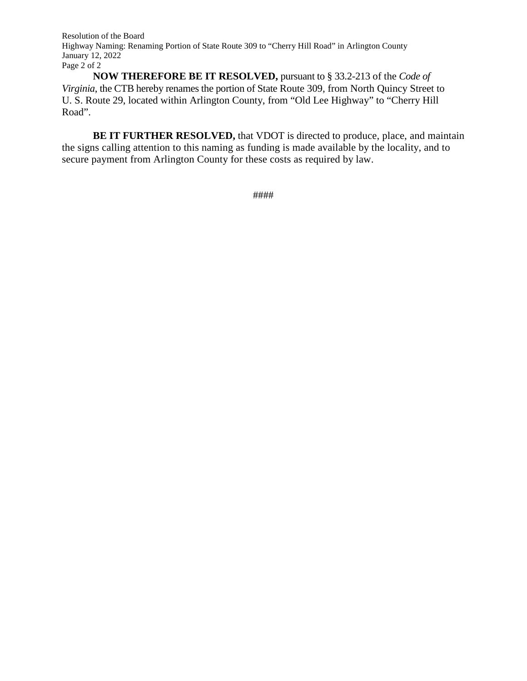Resolution of the Board Highway Naming: Renaming Portion of State Route 309 to "Cherry Hill Road" in Arlington County January 12, 2022 Page 2 of 2

**NOW THEREFORE BE IT RESOLVED,** pursuant to § 33.2-213 of the *Code of Virginia*, the CTB hereby renames the portion of State Route 309, from North Quincy Street to U. S. Route 29, located within Arlington County, from "Old Lee Highway" to "Cherry Hill Road".

**BE IT FURTHER RESOLVED,** that VDOT is directed to produce, place, and maintain the signs calling attention to this naming as funding is made available by the locality, and to secure payment from Arlington County for these costs as required by law.

####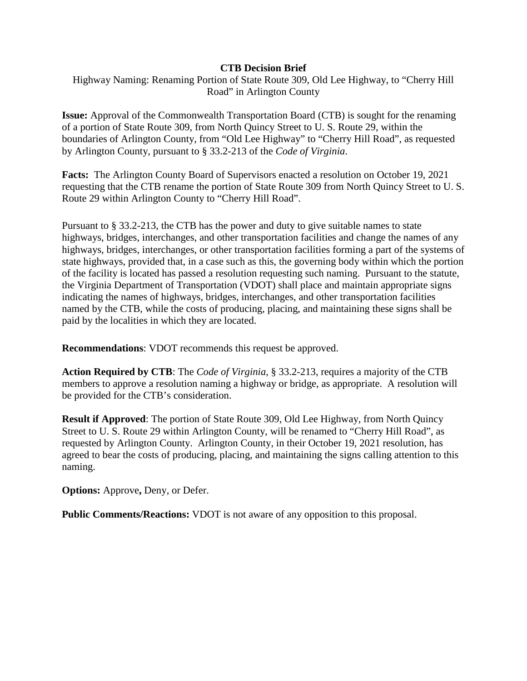#### **CTB Decision Brief**

Highway Naming: Renaming Portion of State Route 309, Old Lee Highway, to "Cherry Hill Road" in Arlington County

**Issue:** Approval of the Commonwealth Transportation Board (CTB) is sought for the renaming of a portion of State Route 309, from North Quincy Street to U. S. Route 29, within the boundaries of Arlington County, from "Old Lee Highway" to "Cherry Hill Road", as requested by Arlington County, pursuant to § 33.2-213 of the *Code of Virginia*.

**Facts:** The Arlington County Board of Supervisors enacted a resolution on October 19, 2021 requesting that the CTB rename the portion of State Route 309 from North Quincy Street to U. S. Route 29 within Arlington County to "Cherry Hill Road".

Pursuant to § 33.2-213, the CTB has the power and duty to give suitable names to state highways, bridges, interchanges, and other transportation facilities and change the names of any highways, bridges, interchanges, or other transportation facilities forming a part of the systems of state highways, provided that, in a case such as this, the governing body within which the portion of the facility is located has passed a resolution requesting such naming. Pursuant to the statute, the Virginia Department of Transportation (VDOT) shall place and maintain appropriate signs indicating the names of highways, bridges, interchanges, and other transportation facilities named by the CTB, while the costs of producing, placing, and maintaining these signs shall be paid by the localities in which they are located.

**Recommendations**: VDOT recommends this request be approved.

**Action Required by CTB**: The *Code of Virginia*, § 33.2-213, requires a majority of the CTB members to approve a resolution naming a highway or bridge, as appropriate. A resolution will be provided for the CTB's consideration.

**Result if Approved**: The portion of State Route 309, Old Lee Highway, from North Quincy Street to U. S. Route 29 within Arlington County, will be renamed to "Cherry Hill Road", as requested by Arlington County. Arlington County, in their October 19, 2021 resolution, has agreed to bear the costs of producing, placing, and maintaining the signs calling attention to this naming.

**Options:** Approve**,** Deny, or Defer.

**Public Comments/Reactions:** VDOT is not aware of any opposition to this proposal.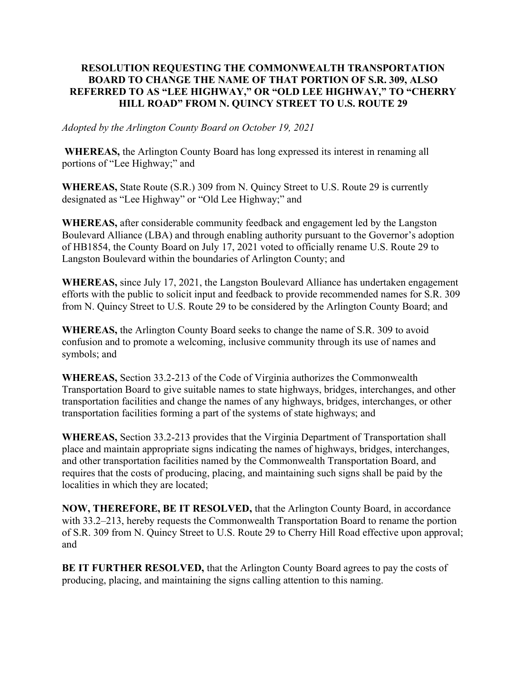### RESOLUTION REQUESTING THE COMMONWEALTH TRANSPORTATION BOARD TO CHANGE THE NAME OF THAT PORTION OF S.R. 309, ALSO REFERRED TO AS "LEE HIGHWAY," OR "OLD LEE HIGHWAY," TO "CHERRY HILL ROAD" FROM N. QUINCY STREET TO U.S. ROUTE 29

#### Adopted by the Arlington County Board on October 19, 2021

WHEREAS, the Arlington County Board has long expressed its interest in renaming all portions of "Lee Highway;" and

WHEREAS, State Route (S.R.) 309 from N. Quincy Street to U.S. Route 29 is currently designated as "Lee Highway" or "Old Lee Highway;" and

WHEREAS, after considerable community feedback and engagement led by the Langston Boulevard Alliance (LBA) and through enabling authority pursuant to the Governor's adoption of HB1854, the County Board on July 17, 2021 voted to officially rename U.S. Route 29 to Langston Boulevard within the boundaries of Arlington County; and

WHEREAS, since July 17, 2021, the Langston Boulevard Alliance has undertaken engagement efforts with the public to solicit input and feedback to provide recommended names for S.R. 309 from N. Quincy Street to U.S. Route 29 to be considered by the Arlington County Board; and

WHEREAS, the Arlington County Board seeks to change the name of S.R. 309 to avoid confusion and to promote a welcoming, inclusive community through its use of names and symbols; and

WHEREAS, Section 33.2-213 of the Code of Virginia authorizes the Commonwealth Transportation Board to give suitable names to state highways, bridges, interchanges, and other transportation facilities and change the names of any highways, bridges, interchanges, or other transportation facilities forming a part of the systems of state highways; and

WHEREAS, Section 33.2-213 provides that the Virginia Department of Transportation shall place and maintain appropriate signs indicating the names of highways, bridges, interchanges, and other transportation facilities named by the Commonwealth Transportation Board, and requires that the costs of producing, placing, and maintaining such signs shall be paid by the localities in which they are located;

NOW, THEREFORE, BE IT RESOLVED, that the Arlington County Board, in accordance with 33.2–213, hereby requests the Commonwealth Transportation Board to rename the portion of S.R. 309 from N. Quincy Street to U.S. Route 29 to Cherry Hill Road effective upon approval; and

BE IT FURTHER RESOLVED, that the Arlington County Board agrees to pay the costs of producing, placing, and maintaining the signs calling attention to this naming.